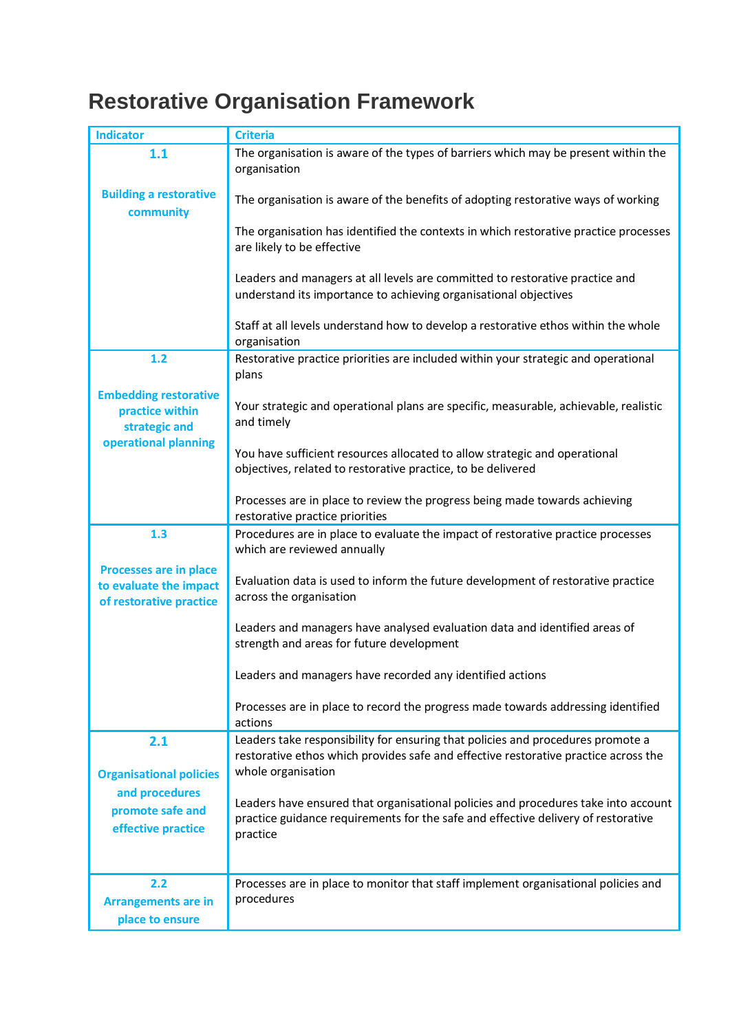## **Restorative Organisation Framework**

| <b>Indicator</b>                                                                         | <b>Criteria</b>                                                                                                                                                        |
|------------------------------------------------------------------------------------------|------------------------------------------------------------------------------------------------------------------------------------------------------------------------|
| 1.1                                                                                      | The organisation is aware of the types of barriers which may be present within the<br>organisation                                                                     |
| <b>Building a restorative</b><br>community                                               | The organisation is aware of the benefits of adopting restorative ways of working                                                                                      |
|                                                                                          | The organisation has identified the contexts in which restorative practice processes<br>are likely to be effective                                                     |
|                                                                                          | Leaders and managers at all levels are committed to restorative practice and<br>understand its importance to achieving organisational objectives                       |
|                                                                                          | Staff at all levels understand how to develop a restorative ethos within the whole<br>organisation                                                                     |
| 1.2                                                                                      | Restorative practice priorities are included within your strategic and operational<br>plans                                                                            |
| <b>Embedding restorative</b><br>practice within<br>strategic and<br>operational planning | Your strategic and operational plans are specific, measurable, achievable, realistic<br>and timely                                                                     |
|                                                                                          | You have sufficient resources allocated to allow strategic and operational<br>objectives, related to restorative practice, to be delivered                             |
|                                                                                          | Processes are in place to review the progress being made towards achieving<br>restorative practice priorities                                                          |
| 1.3                                                                                      | Procedures are in place to evaluate the impact of restorative practice processes<br>which are reviewed annually                                                        |
|                                                                                          |                                                                                                                                                                        |
| Processes are in place<br>to evaluate the impact<br>of restorative practice              | Evaluation data is used to inform the future development of restorative practice<br>across the organisation                                                            |
|                                                                                          | Leaders and managers have analysed evaluation data and identified areas of<br>strength and areas for future development                                                |
|                                                                                          | Leaders and managers have recorded any identified actions                                                                                                              |
|                                                                                          | Processes are in place to record the progress made towards addressing identified<br>actions                                                                            |
| 2.1                                                                                      | Leaders take responsibility for ensuring that policies and procedures promote a<br>restorative ethos which provides safe and effective restorative practice across the |
| <b>Organisational policies</b>                                                           | whole organisation                                                                                                                                                     |
| and procedures                                                                           | Leaders have ensured that organisational policies and procedures take into account                                                                                     |
| promote safe and<br>effective practice                                                   | practice guidance requirements for the safe and effective delivery of restorative<br>practice                                                                          |
|                                                                                          |                                                                                                                                                                        |
| 2.2<br><b>Arrangements are in</b><br>place to ensure                                     | Processes are in place to monitor that staff implement organisational policies and<br>procedures                                                                       |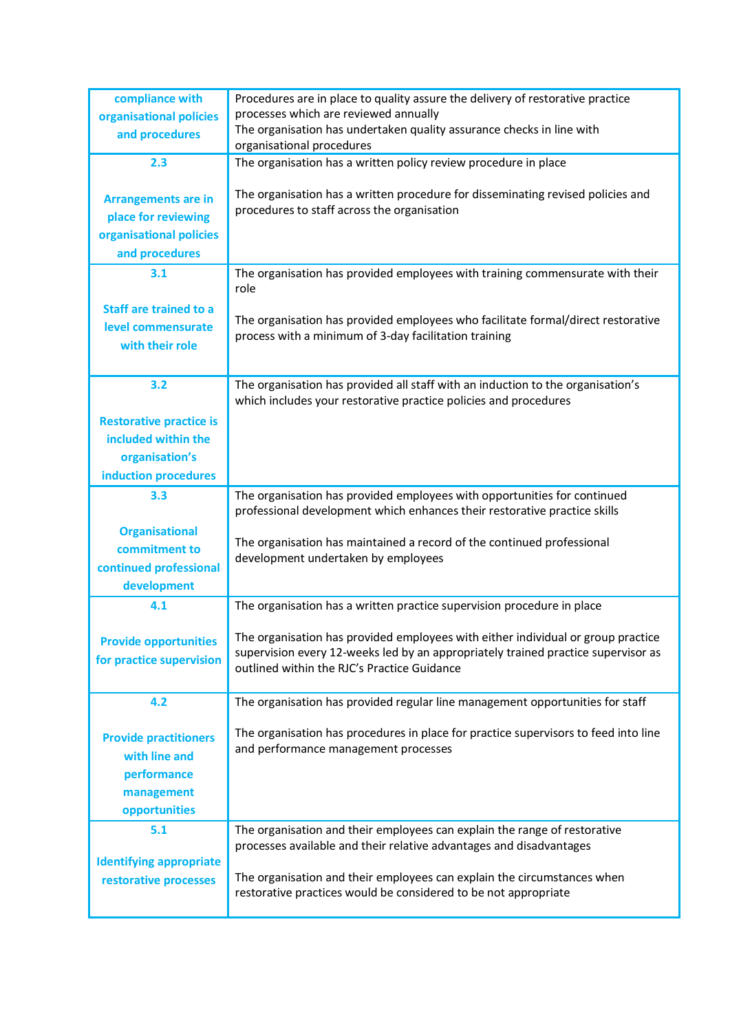| compliance with<br>organisational policies<br>and procedures                                    | Procedures are in place to quality assure the delivery of restorative practice<br>processes which are reviewed annually<br>The organisation has undertaken quality assurance checks in line with                                                                                               |
|-------------------------------------------------------------------------------------------------|------------------------------------------------------------------------------------------------------------------------------------------------------------------------------------------------------------------------------------------------------------------------------------------------|
| 2.3                                                                                             | organisational procedures<br>The organisation has a written policy review procedure in place                                                                                                                                                                                                   |
| <b>Arrangements are in</b><br>place for reviewing<br>organisational policies<br>and procedures  | The organisation has a written procedure for disseminating revised policies and<br>procedures to staff across the organisation                                                                                                                                                                 |
| 3.1                                                                                             | The organisation has provided employees with training commensurate with their<br>role                                                                                                                                                                                                          |
| <b>Staff are trained to a</b><br>level commensurate<br>with their role                          | The organisation has provided employees who facilitate formal/direct restorative<br>process with a minimum of 3-day facilitation training                                                                                                                                                      |
| 3.2                                                                                             | The organisation has provided all staff with an induction to the organisation's<br>which includes your restorative practice policies and procedures                                                                                                                                            |
| <b>Restorative practice is</b><br>included within the<br>organisation's<br>induction procedures |                                                                                                                                                                                                                                                                                                |
| 3.3                                                                                             | The organisation has provided employees with opportunities for continued<br>professional development which enhances their restorative practice skills                                                                                                                                          |
| <b>Organisational</b><br>commitment to<br>continued professional<br>development                 | The organisation has maintained a record of the continued professional<br>development undertaken by employees                                                                                                                                                                                  |
| 4.1                                                                                             | The organisation has a written practice supervision procedure in place                                                                                                                                                                                                                         |
| <b>Provide opportunities</b><br>for practice supervision                                        | The organisation has provided employees with either individual or group practice<br>supervision every 12-weeks led by an appropriately trained practice supervisor as<br>outlined within the RJC's Practice Guidance                                                                           |
| 4.2                                                                                             | The organisation has provided regular line management opportunities for staff                                                                                                                                                                                                                  |
| <b>Provide practitioners</b><br>with line and<br>performance<br>management<br>opportunities     | The organisation has procedures in place for practice supervisors to feed into line<br>and performance management processes                                                                                                                                                                    |
| 5.1<br><b>Identifying appropriate</b><br>restorative processes                                  | The organisation and their employees can explain the range of restorative<br>processes available and their relative advantages and disadvantages<br>The organisation and their employees can explain the circumstances when<br>restorative practices would be considered to be not appropriate |